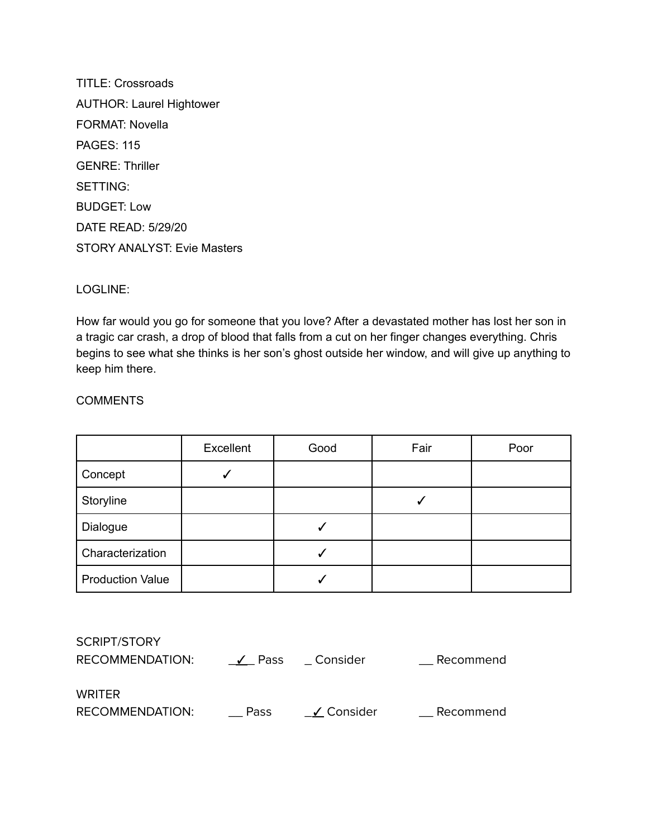TITLE: Crossroads AUTHOR: Laurel Hightower FORMAT: Novella PAGES: 115 GENRE: Thriller SETTING: BUDGET: Low DATE READ: 5/29/20 STORY ANALYST: Evie Masters

## LOGLINE:

How far would you go for someone that you love? After a devastated mother has lost her son in a tragic car crash, a drop of blood that falls from a cut on her finger changes everything. Chris begins to see what she thinks is her son's ghost outside her window, and will give up anything to keep him there.

## **COMMENTS**

|                         | Excellent | Good | Fair | Poor |
|-------------------------|-----------|------|------|------|
| Concept                 |           |      |      |      |
| Storyline               |           |      |      |      |
| Dialogue                |           |      |      |      |
| Characterization        |           |      |      |      |
| <b>Production Value</b> |           |      |      |      |

| <b>SCRIPT/STORY</b><br><b>RECOMMENDATION:</b> | ✔ Pass      | Consider   | __ Recommend |
|-----------------------------------------------|-------------|------------|--------------|
| WRITER<br><b>RECOMMENDATION:</b>              | <b>Pass</b> | ∟ Consider | _ Recommend  |